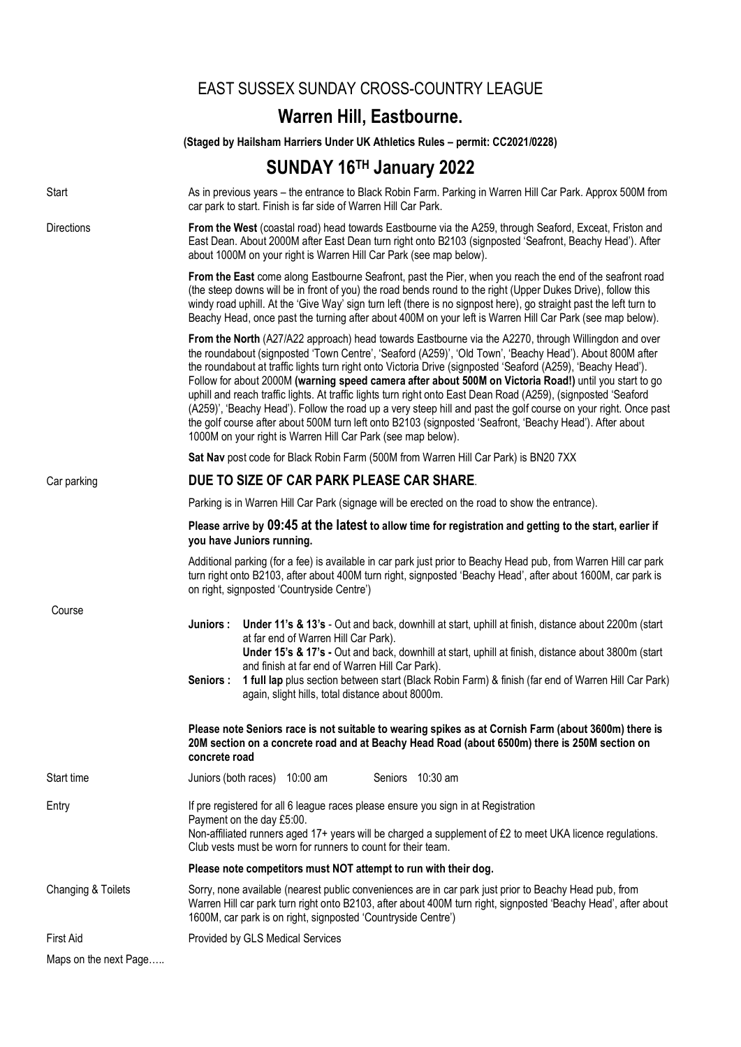|                       |                                                                                                                                                                                                                                                                                                                                                                                                                                                             | <b>EAST SUSSEX SUNDAY CROSS-COUNTRY LEAGUE</b>                                                                                                                                                                                                                                                                                                                                                                                                                                                                                                                                                                                                                                                                                                                                                                                                              |
|-----------------------|-------------------------------------------------------------------------------------------------------------------------------------------------------------------------------------------------------------------------------------------------------------------------------------------------------------------------------------------------------------------------------------------------------------------------------------------------------------|-------------------------------------------------------------------------------------------------------------------------------------------------------------------------------------------------------------------------------------------------------------------------------------------------------------------------------------------------------------------------------------------------------------------------------------------------------------------------------------------------------------------------------------------------------------------------------------------------------------------------------------------------------------------------------------------------------------------------------------------------------------------------------------------------------------------------------------------------------------|
|                       |                                                                                                                                                                                                                                                                                                                                                                                                                                                             | Warren Hill, Eastbourne.                                                                                                                                                                                                                                                                                                                                                                                                                                                                                                                                                                                                                                                                                                                                                                                                                                    |
|                       |                                                                                                                                                                                                                                                                                                                                                                                                                                                             | (Staged by Hailsham Harriers Under UK Athletics Rules - permit: CC2021/0228)                                                                                                                                                                                                                                                                                                                                                                                                                                                                                                                                                                                                                                                                                                                                                                                |
|                       |                                                                                                                                                                                                                                                                                                                                                                                                                                                             | SUNDAY 16TH January 2022                                                                                                                                                                                                                                                                                                                                                                                                                                                                                                                                                                                                                                                                                                                                                                                                                                    |
| Start                 |                                                                                                                                                                                                                                                                                                                                                                                                                                                             | As in previous years - the entrance to Black Robin Farm. Parking in Warren Hill Car Park. Approx 500M from<br>car park to start. Finish is far side of Warren Hill Car Park.                                                                                                                                                                                                                                                                                                                                                                                                                                                                                                                                                                                                                                                                                |
| Directions            | From the West (coastal road) head towards Eastbourne via the A259, through Seaford, Exceat, Friston and<br>East Dean. About 2000M after East Dean turn right onto B2103 (signposted 'Seafront, Beachy Head'). After<br>about 1000M on your right is Warren Hill Car Park (see map below).                                                                                                                                                                   |                                                                                                                                                                                                                                                                                                                                                                                                                                                                                                                                                                                                                                                                                                                                                                                                                                                             |
|                       | From the East come along Eastbourne Seafront, past the Pier, when you reach the end of the seafront road<br>(the steep downs will be in front of you) the road bends round to the right (Upper Dukes Drive), follow this<br>windy road uphill. At the 'Give Way' sign turn left (there is no signpost here), go straight past the left turn to<br>Beachy Head, once past the turning after about 400M on your left is Warren Hill Car Park (see map below). |                                                                                                                                                                                                                                                                                                                                                                                                                                                                                                                                                                                                                                                                                                                                                                                                                                                             |
|                       |                                                                                                                                                                                                                                                                                                                                                                                                                                                             | From the North (A27/A22 approach) head towards Eastbourne via the A2270, through Willingdon and over<br>the roundabout (signposted 'Town Centre', 'Seaford (A259)', 'Old Town', 'Beachy Head'). About 800M after<br>the roundabout at traffic lights turn right onto Victoria Drive (signposted 'Seaford (A259), 'Beachy Head').<br>Follow for about 2000M (warning speed camera after about 500M on Victoria Road!) until you start to go<br>uphill and reach traffic lights. At traffic lights turn right onto East Dean Road (A259), (signposted 'Seaford<br>(A259)', 'Beachy Head'). Follow the road up a very steep hill and past the golf course on your right. Once past<br>the golf course after about 500M turn left onto B2103 (signposted 'Seafront, 'Beachy Head'). After about<br>1000M on your right is Warren Hill Car Park (see map below). |
|                       | Sat Nav post code for Black Robin Farm (500M from Warren Hill Car Park) is BN20 7XX                                                                                                                                                                                                                                                                                                                                                                         |                                                                                                                                                                                                                                                                                                                                                                                                                                                                                                                                                                                                                                                                                                                                                                                                                                                             |
| Car parking           | DUE TO SIZE OF CAR PARK PLEASE CAR SHARE.                                                                                                                                                                                                                                                                                                                                                                                                                   |                                                                                                                                                                                                                                                                                                                                                                                                                                                                                                                                                                                                                                                                                                                                                                                                                                                             |
|                       | Parking is in Warren Hill Car Park (signage will be erected on the road to show the entrance).                                                                                                                                                                                                                                                                                                                                                              |                                                                                                                                                                                                                                                                                                                                                                                                                                                                                                                                                                                                                                                                                                                                                                                                                                                             |
|                       | Please arrive by 09:45 at the latest to allow time for registration and getting to the start, earlier if<br>you have Juniors running.                                                                                                                                                                                                                                                                                                                       |                                                                                                                                                                                                                                                                                                                                                                                                                                                                                                                                                                                                                                                                                                                                                                                                                                                             |
|                       | Additional parking (for a fee) is available in car park just prior to Beachy Head pub, from Warren Hill car park<br>turn right onto B2103, after about 400M turn right, signposted 'Beachy Head', after about 1600M, car park is<br>on right, signposted 'Countryside Centre')                                                                                                                                                                              |                                                                                                                                                                                                                                                                                                                                                                                                                                                                                                                                                                                                                                                                                                                                                                                                                                                             |
| Course                | Juniors :<br>Seniors :                                                                                                                                                                                                                                                                                                                                                                                                                                      | Under 11's & 13's - Out and back, downhill at start, uphill at finish, distance about 2200m (start<br>at far end of Warren Hill Car Park).<br>Under 15's & 17's - Out and back, downhill at start, uphill at finish, distance about 3800m (start<br>and finish at far end of Warren Hill Car Park).<br>1 full lap plus section between start (Black Robin Farm) & finish (far end of Warren Hill Car Park)<br>again, slight hills, total distance about 8000m.                                                                                                                                                                                                                                                                                                                                                                                              |
|                       | concrete road                                                                                                                                                                                                                                                                                                                                                                                                                                               | Please note Seniors race is not suitable to wearing spikes as at Cornish Farm (about 3600m) there is<br>20M section on a concrete road and at Beachy Head Road (about 6500m) there is 250M section on                                                                                                                                                                                                                                                                                                                                                                                                                                                                                                                                                                                                                                                       |
| Start time            | Juniors (both races) 10:00 am<br>Seniors 10:30 am                                                                                                                                                                                                                                                                                                                                                                                                           |                                                                                                                                                                                                                                                                                                                                                                                                                                                                                                                                                                                                                                                                                                                                                                                                                                                             |
| Entry                 | If pre registered for all 6 league races please ensure you sign in at Registration<br>Payment on the day £5:00.<br>Non-affiliated runners aged 17+ years will be charged a supplement of £2 to meet UKA licence regulations.<br>Club vests must be worn for runners to count for their team.                                                                                                                                                                |                                                                                                                                                                                                                                                                                                                                                                                                                                                                                                                                                                                                                                                                                                                                                                                                                                                             |
|                       | Please note competitors must NOT attempt to run with their dog.                                                                                                                                                                                                                                                                                                                                                                                             |                                                                                                                                                                                                                                                                                                                                                                                                                                                                                                                                                                                                                                                                                                                                                                                                                                                             |
| Changing & Toilets    | Sorry, none available (nearest public conveniences are in car park just prior to Beachy Head pub, from<br>Warren Hill car park turn right onto B2103, after about 400M turn right, signposted 'Beachy Head', after about<br>1600M, car park is on right, signposted 'Countryside Centre')                                                                                                                                                                   |                                                                                                                                                                                                                                                                                                                                                                                                                                                                                                                                                                                                                                                                                                                                                                                                                                                             |
| <b>First Aid</b>      |                                                                                                                                                                                                                                                                                                                                                                                                                                                             | Provided by GLS Medical Services                                                                                                                                                                                                                                                                                                                                                                                                                                                                                                                                                                                                                                                                                                                                                                                                                            |
| Maps on the next Page |                                                                                                                                                                                                                                                                                                                                                                                                                                                             |                                                                                                                                                                                                                                                                                                                                                                                                                                                                                                                                                                                                                                                                                                                                                                                                                                                             |